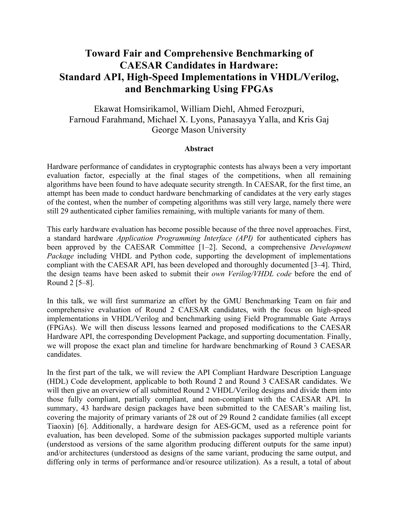## **Toward Fair and Comprehensive Benchmarking of CAESAR Candidates in Hardware: Standard API, High-Speed Implementations in VHDL/Verilog, and Benchmarking Using FPGAs**

Ekawat Homsirikamol, William Diehl, Ahmed Ferozpuri, Farnoud Farahmand, Michael X. Lyons, Panasayya Yalla, and Kris Gaj George Mason University

## **Abstract**

Hardware performance of candidates in cryptographic contests has always been a very important evaluation factor, especially at the final stages of the competitions, when all remaining algorithms have been found to have adequate security strength. In CAESAR, for the first time, an attempt has been made to conduct hardware benchmarking of candidates at the very early stages of the contest, when the number of competing algorithms was still very large, namely there were still 29 authenticated cipher families remaining, with multiple variants for many of them.

This early hardware evaluation has become possible because of the three novel approaches. First, a standard hardware *Application Programming Interface (API)* for authenticated ciphers has been approved by the CAESAR Committee [1–2]. Second, a comprehensive *Development Package* including VHDL and Python code, supporting the development of implementations compliant with the CAESAR API, has been developed and thoroughly documented [3–4]. Third, the design teams have been asked to submit their *own Verilog/VHDL code* before the end of Round 2 [5–8].

In this talk, we will first summarize an effort by the GMU Benchmarking Team on fair and comprehensive evaluation of Round 2 CAESAR candidates, with the focus on high-speed implementations in VHDL/Verilog and benchmarking using Field Programmable Gate Arrays (FPGAs). We will then discuss lessons learned and proposed modifications to the CAESAR Hardware API, the corresponding Development Package, and supporting documentation. Finally, we will propose the exact plan and timeline for hardware benchmarking of Round 3 CAESAR candidates.

In the first part of the talk, we will review the API Compliant Hardware Description Language (HDL) Code development, applicable to both Round 2 and Round 3 CAESAR candidates. We will then give an overview of all submitted Round 2 VHDL/Verilog designs and divide them into those fully compliant, partially compliant, and non-compliant with the CAESAR API. In summary, 43 hardware design packages have been submitted to the CAESAR's mailing list, covering the majority of primary variants of 28 out of 29 Round 2 candidate families (all except Tiaoxin) [6]. Additionally, a hardware design for AES-GCM, used as a reference point for evaluation, has been developed. Some of the submission packages supported multiple variants (understood as versions of the same algorithm producing different outputs for the same input) and/or architectures (understood as designs of the same variant, producing the same output, and differing only in terms of performance and/or resource utilization). As a result, a total of about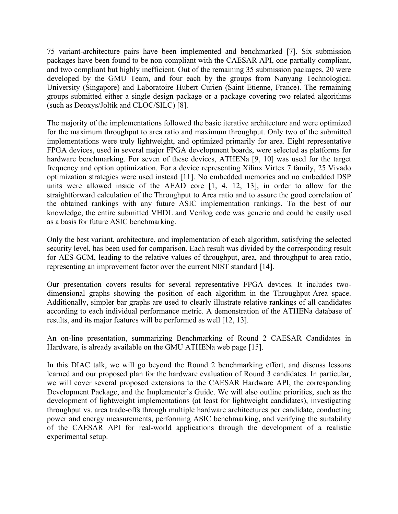75 variant-architecture pairs have been implemented and benchmarked [7]. Six submission packages have been found to be non-compliant with the CAESAR API, one partially compliant, and two compliant but highly inefficient. Out of the remaining 35 submission packages, 20 were developed by the GMU Team, and four each by the groups from Nanyang Technological University (Singapore) and Laboratoire Hubert Curien (Saint Etienne, France). The remaining groups submitted either a single design package or a package covering two related algorithms (such as Deoxys/Joltik and CLOC/SILC) [8].

The majority of the implementations followed the basic iterative architecture and were optimized for the maximum throughput to area ratio and maximum throughput. Only two of the submitted implementations were truly lightweight, and optimized primarily for area. Eight representative FPGA devices, used in several major FPGA development boards, were selected as platforms for hardware benchmarking. For seven of these devices, ATHENa [9, 10] was used for the target frequency and option optimization. For a device representing Xilinx Virtex 7 family, 25 Vivado optimization strategies were used instead [11]. No embedded memories and no embedded DSP units were allowed inside of the AEAD core [1, 4, 12, 13], in order to allow for the straightforward calculation of the Throughput to Area ratio and to assure the good correlation of the obtained rankings with any future ASIC implementation rankings. To the best of our knowledge, the entire submitted VHDL and Verilog code was generic and could be easily used as a basis for future ASIC benchmarking.

Only the best variant, architecture, and implementation of each algorithm, satisfying the selected security level, has been used for comparison. Each result was divided by the corresponding result for AES-GCM, leading to the relative values of throughput, area, and throughput to area ratio, representing an improvement factor over the current NIST standard [14].

Our presentation covers results for several representative FPGA devices. It includes twodimensional graphs showing the position of each algorithm in the Throughput-Area space. Additionally, simpler bar graphs are used to clearly illustrate relative rankings of all candidates according to each individual performance metric. A demonstration of the ATHENa database of results, and its major features will be performed as well [12, 13].

An on-line presentation, summarizing Benchmarking of Round 2 CAESAR Candidates in Hardware, is already available on the GMU ATHENa web page [15].

In this DIAC talk, we will go beyond the Round 2 benchmarking effort, and discuss lessons learned and our proposed plan for the hardware evaluation of Round 3 candidates. In particular, we will cover several proposed extensions to the CAESAR Hardware API, the corresponding Development Package, and the Implementer's Guide. We will also outline priorities, such as the development of lightweight implementations (at least for lightweight candidates), investigating throughput vs. area trade-offs through multiple hardware architectures per candidate, conducting power and energy measurements, performing ASIC benchmarking, and verifying the suitability of the CAESAR API for real-world applications through the development of a realistic experimental setup.